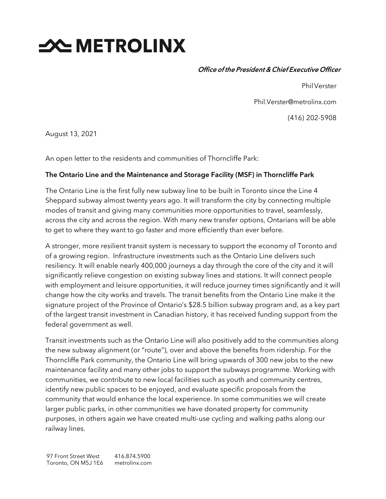# **SEXT METROLINX**

Office ofthe President & Chief Executive Officer

PhilVerster

Phil.Verster@metrolinx.com

(416) 202-5908

August 13, 2021

An open letter to the residents and communities of Thorncliffe Park:

## The Ontario Line and the Maintenance and Storage Facility (MSF) in Thorncliffe Park

The Ontario Line is the first fully new subway line to be built in Toronto since the Line 4 Sheppard subway almost twenty years ago. It will transform the city by connecting multiple modes of transit and giving many communities more opportunities to travel, seamlessly, across the city and across the region. With many new transfer options, Ontarians will be able to get to where they want to go faster and more efficiently than ever before.

A stronger, more resilient transit system is necessary to support the economy of Toronto and of a growing region. Infrastructure investments such as the Ontario Line delivers such resiliency. It will enable nearly 400,000 journeys a day through the core of the city and it will significantly relieve congestion on existing subway lines and stations. It will connect people with employment and leisure opportunities, it will reduce journey times significantly and it will change how the city works and travels. The transit benefits from the Ontario Line make it the signature project of the Province of Ontario's \$28.5 billion subway program and, as a key part of the largest transit investment in Canadian history, it has received funding support from the federal government as well.

Transit investments such as the Ontario Line will also positively add to the communities along the new subway alignment (or "route"), over and above the benefits from ridership. For the Thorncliffe Park community, the Ontario Line will bring upwards of 300 new jobs to the new maintenance facility and many other jobs to support the subways programme. Working with communities, we contribute to new local facilities such as youth and community centres, identify new public spaces to be enjoyed, and evaluate specific proposals from the community that would enhance the local experience. In some communities we will create larger public parks, in other communities we have donated property for community purposes, in others again we have created multi-use cycling and walking paths along our railway lines.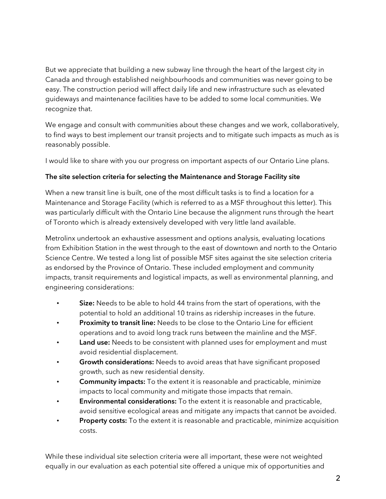But we appreciate that building a new subway line through the heart of the largest city in Canada and through established neighbourhoods and communities was never going to be easy. The construction period will affect daily life and new infrastructure such as elevated guideways and maintenance facilities have to be added to some local communities. We recognize that.

We engage and consult with communities about these changes and we work, collaboratively, to find ways to best implement our transit projects and to mitigate such impacts as much as is reasonably possible.

I would like to share with you our progress on important aspects of our Ontario Line plans.

## The site selection criteria for selecting the Maintenance and Storage Facility site

When a new transit line is built, one of the most difficult tasks is to find a location for a Maintenance and Storage Facility (which is referred to as a MSF throughout this letter). This was particularly difficult with the Ontario Line because the alignment runs through the heart of Toronto which is already extensively developed with very little land available.

Metrolinx undertook an exhaustive assessment and options analysis, evaluating locations from Exhibition Station in the west through to the east of downtown and north to the Ontario Science Centre. We tested a long list of possible MSF sites against the site selection criteria as endorsed by the Province of Ontario. These included employment and community impacts, transit requirements and logistical impacts, as well as environmental planning, and engineering considerations:

- Size: Needs to be able to hold 44 trains from the start of operations, with the potential to hold an additional 10 trains as ridership increases in the future.
- Proximity to transit line: Needs to be close to the Ontario Line for efficient operations and to avoid long track runs between the mainline and the MSF.
- Land use: Needs to be consistent with planned uses for employment and must avoid residential displacement.
- Growth considerations: Needs to avoid areas that have significant proposed growth, such as new residential density.
- **Community impacts:** To the extent it is reasonable and practicable, minimize impacts to local community and mitigate those impacts that remain.
- Environmental considerations: To the extent it is reasonable and practicable, avoid sensitive ecological areas and mitigate any impacts that cannot be avoided.
- Property costs: To the extent it is reasonable and practicable, minimize acquisition costs.

While these individual site selection criteria were all important, these were not weighted equally in our evaluation as each potential site offered a unique mix of opportunities and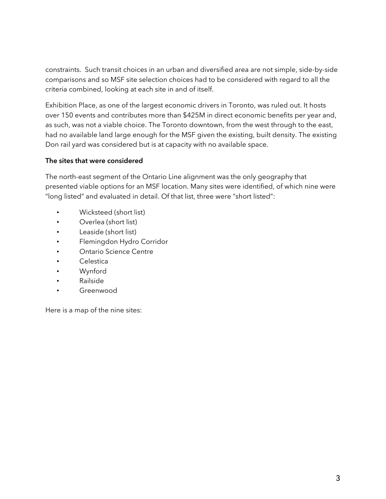constraints. Such transit choices in an urban and diversified area are not simple, side-by-side comparisons and so MSF site selection choices had to be considered with regard to all the criteria combined, looking at each site in and of itself.

Exhibition Place, as one of the largest economic drivers in Toronto, was ruled out. It hosts over 150 events and contributes more than \$425M in direct economic benefits per year and, as such, was not a viable choice. The Toronto downtown, from the west through to the east, had no available land large enough for the MSF given the existing, built density. The existing Don rail yard was considered but is at capacity with no available space.

## The sites that were considered

The north-east segment of the Ontario Line alignment was the only geography that presented viable options for an MSF location. Many sites were identified, of which nine were "long listed" and evaluated in detail. Of that list, three were "short listed":

- Wicksteed (short list)
- Overlea (short list)
- Leaside (short list)
- Flemingdon Hydro Corridor
- Ontario Science Centre
- **Celestica**
- Wynford
- Railside
- Greenwood

Here is a map of the nine sites: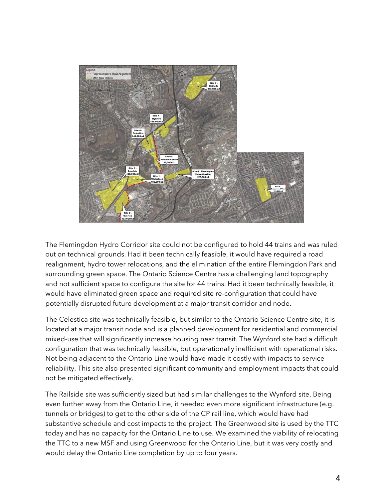

The Flemingdon Hydro Corridor site could not be configured to hold 44 trains and was ruled out on technical grounds. Had it been technically feasible, it would have required a road realignment, hydro tower relocations, and the elimination of the entire Flemingdon Park and surrounding green space. The Ontario Science Centre has a challenging land topography and not sufficient space to configure the site for 44 trains. Had it been technically feasible, it would have eliminated green space and required site re-configuration that could have potentially disrupted future development at a major transit corridor and node.

The Celestica site was technically feasible, but similar to the Ontario Science Centre site, it is located at a major transit node and is a planned development for residential and commercial mixed-use that will significantly increase housing near transit. The Wynford site had a difficult configuration that was technically feasible, but operationally inefficient with operational risks. Not being adjacent to the Ontario Line would have made it costly with impacts to service reliability. This site also presented significant community and employment impacts that could not be mitigated effectively.

The Railside site was sufficiently sized but had similar challenges to the Wynford site. Being even further away from the Ontario Line, it needed even more significant infrastructure (e.g. tunnels or bridges) to get to the other side of the CP rail line, which would have had substantive schedule and cost impacts to the project. The Greenwood site is used by the TTC today and has no capacity for the Ontario Line to use. We examined the viability of relocating the TTC to a new MSF and using Greenwood for the Ontario Line, but it was very costly and would delay the Ontario Line completion by up to four years.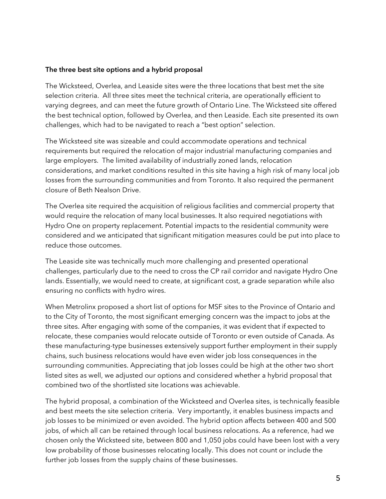#### The three best site options and a hybrid proposal

The Wicksteed, Overlea, and Leaside sites were the three locations that best met the site selection criteria. All three sites meet the technical criteria, are operationally efficient to varying degrees, and can meet the future growth of Ontario Line. The Wicksteed site offered the best technical option, followed by Overlea, and then Leaside. Each site presented its own challenges, which had to be navigated to reach a "best option" selection.

The Wicksteed site was sizeable and could accommodate operations and technical requirements but required the relocation of major industrial manufacturing companies and large employers. The limited availability of industrially zoned lands, relocation considerations, and market conditions resulted in this site having a high risk of many local job losses from the surrounding communities and from Toronto. It also required the permanent closure of Beth Nealson Drive.

The Overlea site required the acquisition of religious facilities and commercial property that would require the relocation of many local businesses. It also required negotiations with Hydro One on property replacement. Potential impacts to the residential community were considered and we anticipated that significant mitigation measures could be put into place to reduce those outcomes.

The Leaside site was technically much more challenging and presented operational challenges, particularly due to the need to cross the CP rail corridor and navigate Hydro One lands. Essentially, we would need to create, at significant cost, a grade separation while also ensuring no conflicts with hydro wires.

When Metrolinx proposed a short list of options for MSF sites to the Province of Ontario and to the City of Toronto, the most significant emerging concern was the impact to jobs at the three sites. After engaging with some of the companies, it was evident that if expected to relocate, these companies would relocate outside of Toronto or even outside of Canada. As these manufacturing-type businesses extensively support further employment in their supply chains, such business relocations would have even wider job loss consequences in the surrounding communities. Appreciating that job losses could be high at the other two short listed sites as well, we adjusted our options and considered whether a hybrid proposal that combined two of the shortlisted site locations was achievable.

The hybrid proposal, a combination of the Wicksteed and Overlea sites, is technically feasible and best meets the site selection criteria. Very importantly, it enables business impacts and job losses to be minimized or even avoided. The hybrid option affects between 400 and 500 jobs, of which all can be retained through local business relocations. As a reference, had we chosen only the Wicksteed site, between 800 and 1,050 jobs could have been lost with a very low probability of those businesses relocating locally. This does not count or include the further job losses from the supply chains of these businesses.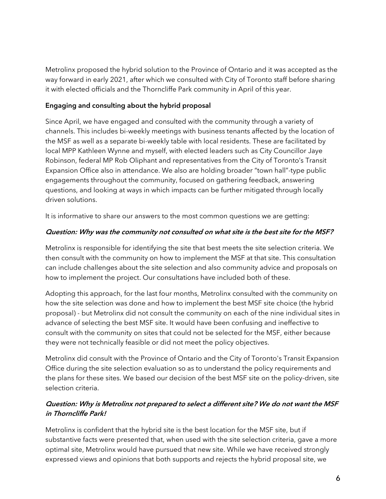Metrolinx proposed the hybrid solution to the Province of Ontario and it was accepted as the way forward in early 2021, after which we consulted with City of Toronto staff before sharing it with elected officials and the Thorncliffe Park community in April of this year.

## Engaging and consulting about the hybrid proposal

Since April, we have engaged and consulted with the community through a variety of channels. This includes bi-weekly meetings with business tenants affected by the location of the MSF as well as a separate bi-weekly table with local residents. These are facilitated by local MPP Kathleen Wynne and myself, with elected leaders such as City Councillor Jaye Robinson, federal MP Rob Oliphant and representatives from the City of Toronto's Transit Expansion Office also in attendance. We also are holding broader "town hall"-type public engagements throughout the community, focused on gathering feedback, answering questions, and looking at ways in which impacts can be further mitigated through locally driven solutions.

It is informative to share our answers to the most common questions we are getting:

## Question: Why was the community not consulted on what site is the best site for the MSF?

Metrolinx is responsible for identifying the site that best meets the site selection criteria. We then consult with the community on how to implement the MSF at that site. This consultation can include challenges about the site selection and also community advice and proposals on how to implement the project. Our consultations have included both of these.

Adopting this approach, for the last four months, Metrolinx consulted with the community on how the site selection was done and how to implement the best MSF site choice (the hybrid proposal) - but Metrolinx did not consult the community on each of the nine individual sites in advance of selecting the best MSF site. It would have been confusing and ineffective to consult with the community on sites that could not be selected for the MSF, either because they were not technically feasible or did not meet the policy objectives.

Metrolinx did consult with the Province of Ontario and the City of Toronto's Transit Expansion Office during the site selection evaluation so as to understand the policy requirements and the plans for these sites. We based our decision of the best MSF site on the policy-driven, site selection criteria.

# Question: Why is Metrolinx not prepared to select a different site? We do not want the MSF in Thorncliffe Park!

Metrolinx is confident that the hybrid site is the best location for the MSF site, but if substantive facts were presented that, when used with the site selection criteria, gave a more optimal site, Metrolinx would have pursued that new site. While we have received strongly expressed views and opinions that both supports and rejects the hybrid proposal site, we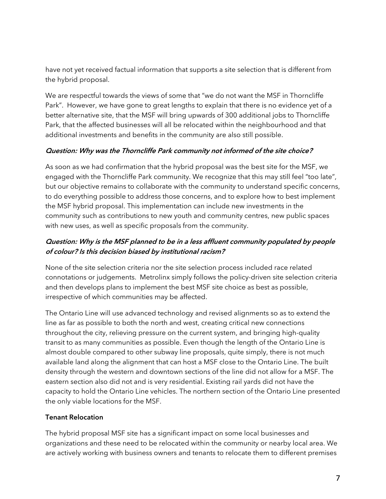have not yet received factual information that supports a site selection that is different from the hybrid proposal.

We are respectful towards the views of some that "we do not want the MSF in Thorncliffe Park". However, we have gone to great lengths to explain that there is no evidence yet of a better alternative site, that the MSF will bring upwards of 300 additional jobs to Thorncliffe Park, that the affected businesses will all be relocated within the neighbourhood and that additional investments and benefits in the community are also still possible.

## Question: Why was the Thorncliffe Park community not informed of the site choice?

As soon as we had confirmation that the hybrid proposal was the best site for the MSF, we engaged with the Thorncliffe Park community. We recognize that this may still feel "too late", but our objective remains to collaborate with the community to understand specific concerns, to do everything possible to address those concerns, and to explore how to best implement the MSF hybrid proposal. This implementation can include new investments in the community such as contributions to new youth and community centres, new public spaces with new uses, as well as specific proposals from the community.

# Question: Why is the MSF planned to be in a less affluent community populated by people of colour? Is this decision biased by institutional racism?

None of the site selection criteria nor the site selection process included race related connotations or judgements. Metrolinx simply follows the policy-driven site selection criteria and then develops plans to implement the best MSF site choice as best as possible, irrespective of which communities may be affected.

The Ontario Line will use advanced technology and revised alignments so as to extend the line as far as possible to both the north and west, creating critical new connections throughout the city, relieving pressure on the current system, and bringing high-quality transit to as many communities as possible. Even though the length of the Ontario Line is almost double compared to other subway line proposals, quite simply, there is not much available land along the alignment that can host a MSF close to the Ontario Line. The built density through the western and downtown sections of the line did not allow for a MSF. The eastern section also did not and is very residential. Existing rail yards did not have the capacity to hold the Ontario Line vehicles. The northern section of the Ontario Line presented the only viable locations for the MSF.

## Tenant Relocation

The hybrid proposal MSF site has a significant impact on some local businesses and organizations and these need to be relocated within the community or nearby local area. We are actively working with business owners and tenants to relocate them to different premises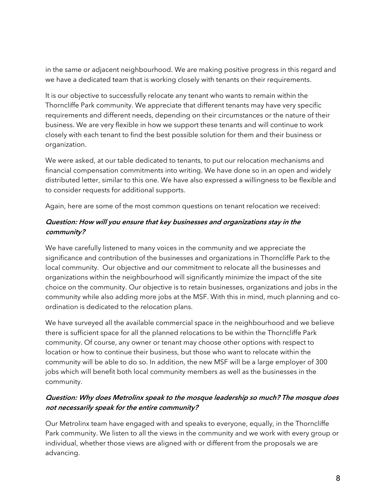in the same or adjacent neighbourhood. We are making positive progress in this regard and we have a dedicated team that is working closely with tenants on their requirements.

It is our objective to successfully relocate any tenant who wants to remain within the Thorncliffe Park community. We appreciate that different tenants may have very specific requirements and different needs, depending on their circumstances or the nature of their business. We are very flexible in how we support these tenants and will continue to work closely with each tenant to find the best possible solution for them and their business or organization.

We were asked, at our table dedicated to tenants, to put our relocation mechanisms and financial compensation commitments into writing. We have done so in an open and widely distributed letter, similar to this one. We have also expressed a willingness to be flexible and to consider requests for additional supports.

Again, here are some of the most common questions on tenant relocation we received:

## Question: How will you ensure that key businesses and organizations stay in the community?

We have carefully listened to many voices in the community and we appreciate the significance and contribution of the businesses and organizations in Thorncliffe Park to the local community. Our objective and our commitment to relocate all the businesses and organizations within the neighbourhood will significantly minimize the impact of the site choice on the community. Our objective is to retain businesses, organizations and jobs in the community while also adding more jobs at the MSF. With this in mind, much planning and coordination is dedicated to the relocation plans.

We have surveyed all the available commercial space in the neighbourhood and we believe there is sufficient space for all the planned relocations to be within the Thorncliffe Park community. Of course, any owner or tenant may choose other options with respect to location or how to continue their business, but those who want to relocate within the community will be able to do so. In addition, the new MSF will be a large employer of 300 jobs which will benefit both local community members as well as the businesses in the community.

## Question: Why does Metrolinx speak to the mosque leadership so much? The mosque does not necessarily speak for the entire community?

Our Metrolinx team have engaged with and speaks to everyone, equally, in the Thorncliffe Park community. We listen to all the views in the community and we work with every group or individual, whether those views are aligned with or different from the proposals we are advancing.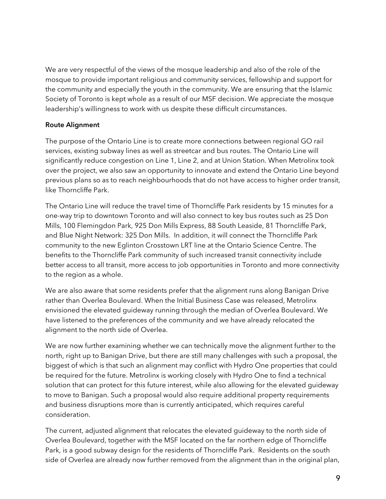We are very respectful of the views of the mosque leadership and also of the role of the mosque to provide important religious and community services, fellowship and support for the community and especially the youth in the community. We are ensuring that the Islamic Society of Toronto is kept whole as a result of our MSF decision. We appreciate the mosque leadership's willingness to work with us despite these difficult circumstances.

## Route Alignment

The purpose of the Ontario Line is to create more connections between regional GO rail services, existing subway lines as well as streetcar and bus routes. The Ontario Line will significantly reduce congestion on Line 1, Line 2, and at Union Station. When Metrolinx took over the project, we also saw an opportunity to innovate and extend the Ontario Line beyond previous plans so as to reach neighbourhoods that do not have access to higher order transit, like Thorncliffe Park.

The Ontario Line will reduce the travel time of Thorncliffe Park residents by 15 minutes for a one-way trip to downtown Toronto and will also connect to key bus routes such as 25 Don Mills, 100 Flemingdon Park, 925 Don Mills Express, 88 South Leaside, 81 Thorncliffe Park, and Blue Night Network: 325 Don Mills. In addition, it will connect the Thorncliffe Park community to the new Eglinton Crosstown LRT line at the Ontario Science Centre. The benefits to the Thorncliffe Park community of such increased transit connectivity include better access to all transit, more access to job opportunities in Toronto and more connectivity to the region as a whole.

We are also aware that some residents prefer that the alignment runs along Banigan Drive rather than Overlea Boulevard. When the Initial Business Case was released, Metrolinx envisioned the elevated guideway running through the median of Overlea Boulevard. We have listened to the preferences of the community and we have already relocated the alignment to the north side of Overlea.

We are now further examining whether we can technically move the alignment further to the north, right up to Banigan Drive, but there are still many challenges with such a proposal, the biggest of which is that such an alignment may conflict with Hydro One properties that could be required for the future. Metrolinx is working closely with Hydro One to find a technical solution that can protect for this future interest, while also allowing for the elevated guideway to move to Banigan. Such a proposal would also require additional property requirements and business disruptions more than is currently anticipated, which requires careful consideration.

The current, adjusted alignment that relocates the elevated guideway to the north side of Overlea Boulevard, together with the MSF located on the far northern edge of Thorncliffe Park, is a good subway design for the residents of Thorncliffe Park. Residents on the south side of Overlea are already now further removed from the alignment than in the original plan,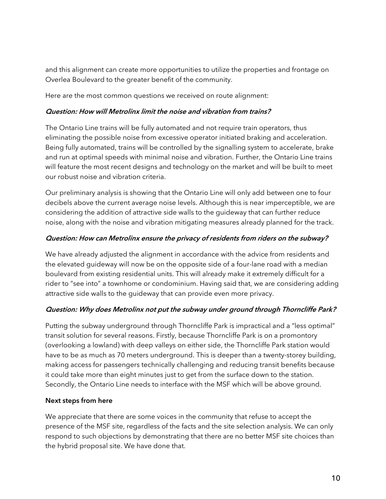and this alignment can create more opportunities to utilize the properties and frontage on Overlea Boulevard to the greater benefit of the community.

Here are the most common questions we received on route alignment:

#### Question: How will Metrolinx limit the noise and vibration from trains?

The Ontario Line trains will be fully automated and not require train operators, thus eliminating the possible noise from excessive operator initiated braking and acceleration. Being fully automated, trains will be controlled by the signalling system to accelerate, brake and run at optimal speeds with minimal noise and vibration. Further, the Ontario Line trains will feature the most recent designs and technology on the market and will be built to meet our robust noise and vibration criteria.

Our preliminary analysis is showing that the Ontario Line will only add between one to four decibels above the current average noise levels. Although this is near imperceptible, we are considering the addition of attractive side walls to the guideway that can further reduce noise, along with the noise and vibration mitigating measures already planned for the track.

## Question: How can Metrolinx ensure the privacy of residents from riders on the subway?

We have already adjusted the alignment in accordance with the advice from residents and the elevated guideway will now be on the opposite side of a four-lane road with a median boulevard from existing residential units. This will already make it extremely difficult for a rider to "see into" a townhome or condominium. Having said that, we are considering adding attractive side walls to the guideway that can provide even more privacy.

## Question: Why does Metrolinx not put the subway under ground through Thorncliffe Park?

Putting the subway underground through Thorncliffe Park is impractical and a "less optimal" transit solution for several reasons. Firstly, because Thorncliffe Park is on a promontory (overlooking a lowland) with deep valleys on either side, the Thorncliffe Park station would have to be as much as 70 meters underground. This is deeper than a twenty-storey building, making access for passengers technically challenging and reducing transit benefits because it could take more than eight minutes just to get from the surface down to the station. Secondly, the Ontario Line needs to interface with the MSF which will be above ground.

#### Next steps from here

We appreciate that there are some voices in the community that refuse to accept the presence of the MSF site, regardless of the facts and the site selection analysis. We can only respond to such objections by demonstrating that there are no better MSF site choices than the hybrid proposal site. We have done that.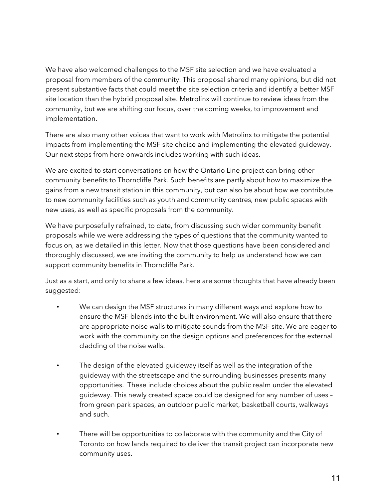We have also welcomed challenges to the MSF site selection and we have evaluated a proposal from members of the community. This proposal shared many opinions, but did not present substantive facts that could meet the site selection criteria and identify a better MSF site location than the hybrid proposal site. Metrolinx will continue to review ideas from the community, but we are shifting our focus, over the coming weeks, to improvement and implementation.

There are also many other voices that want to work with Metrolinx to mitigate the potential impacts from implementing the MSF site choice and implementing the elevated guideway. Our next steps from here onwards includes working with such ideas.

We are excited to start conversations on how the Ontario Line project can bring other community benefits to Thorncliffe Park. Such benefits are partly about how to maximize the gains from a new transit station in this community, but can also be about how we contribute to new community facilities such as youth and community centres, new public spaces with new uses, as well as specific proposals from the community.

We have purposefully refrained, to date, from discussing such wider community benefit proposals while we were addressing the types of questions that the community wanted to focus on, as we detailed in this letter. Now that those questions have been considered and thoroughly discussed, we are inviting the community to help us understand how we can support community benefits in Thorncliffe Park.

Just as a start, and only to share a few ideas, here are some thoughts that have already been suggested:

- We can design the MSF structures in many different ways and explore how to ensure the MSF blends into the built environment. We will also ensure that there are appropriate noise walls to mitigate sounds from the MSF site. We are eager to work with the community on the design options and preferences for the external cladding of the noise walls.
- The design of the elevated guideway itself as well as the integration of the guideway with the streetscape and the surrounding businesses presents many opportunities. These include choices about the public realm under the elevated guideway. This newly created space could be designed for any number of uses – from green park spaces, an outdoor public market, basketball courts, walkways and such.
- There will be opportunities to collaborate with the community and the City of Toronto on how lands required to deliver the transit project can incorporate new community uses.